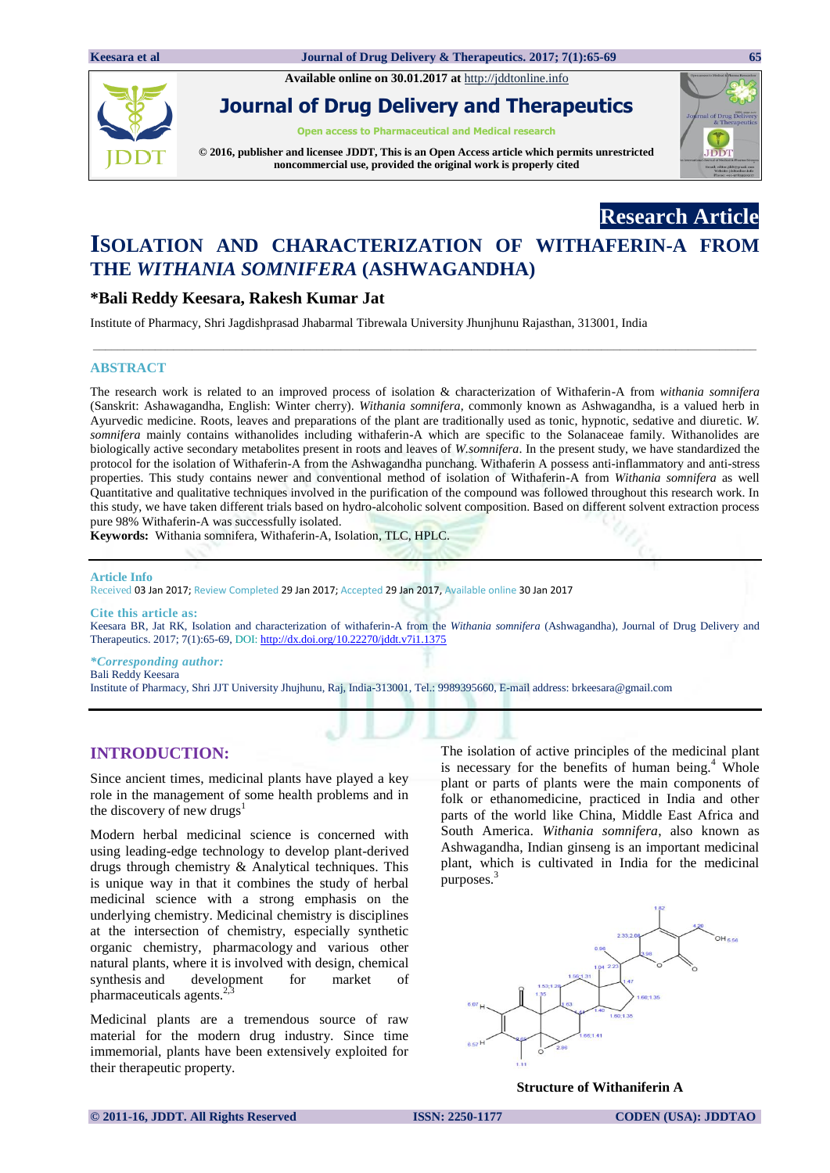**Available online on 30.01.2017 at** [http://jddtonline.info](http://jddtonline.info/)



**Journal of Drug Delivery and Therapeutics**

**Open access to Pharmaceutical and Medical research**

**© 2016, publisher and licensee JDDT, This is an Open Access article which permits unrestricted noncommercial use, provided the original work is properly cited**



**Research Article**

# **ISOLATION AND CHARACTERIZATION OF WITHAFERIN-A FROM THE** *WITHANIA SOMNIFERA* **(ASHWAGANDHA)**

**\_\_\_\_\_\_\_\_\_\_\_\_\_\_\_\_\_\_\_\_\_\_\_\_\_\_\_\_\_\_\_\_\_\_\_\_\_\_\_\_\_\_\_\_\_\_\_\_\_\_\_\_\_\_\_\_\_\_\_\_\_\_\_\_\_\_\_\_\_\_\_\_\_\_\_\_\_\_\_\_\_\_\_\_\_\_\_\_\_\_\_\_\_\_\_\_\_\_\_\_\_\_\_\_\_\_\_**

# **\*Bali Reddy Keesara, Rakesh Kumar Jat**

Institute of Pharmacy, Shri Jagdishprasad Jhabarmal Tibrewala University Jhunjhunu Rajasthan, 313001, India

#### **ABSTRACT**

The research work is related to an improved process of isolation & characterization of Withaferin-A from *withania somnifera* (Sanskrit: Ashawagandha, English: Winter cherry). *Withania somnifera*, commonly known as Ashwagandha, is a valued herb in Ayurvedic medicine. Roots, leaves and preparations of the plant are traditionally used as tonic, hypnotic, sedative and diuretic. *W. somnifera* mainly contains withanolides including withaferin-A which are specific to the Solanaceae family. Withanolides are biologically active secondary metabolites present in roots and leaves of *W.somnifera*. In the present study, we have standardized the protocol for the isolation of Withaferin-A from the Ashwagandha punchang. Withaferin A possess anti-inflammatory and anti-stress properties. This study contains newer and conventional method of isolation of Withaferin-A from *Withania somnifera* as well Quantitative and qualitative techniques involved in the purification of the compound was followed throughout this research work. In this study, we have taken different trials based on hydro-alcoholic solvent composition. Based on different solvent extraction process pure 98% Withaferin-A was successfully isolated.

**Keywords:** Withania somnifera, Withaferin-A, Isolation, TLC, HPLC.

#### **Article Info**

Received 03 Jan 2017; Review Completed 29 Jan 2017; Accepted 29 Jan 2017, Available online 30 Jan 2017

#### **Cite this article as:**

Keesara BR, Jat RK, Isolation and characterization of withaferin-A from the *Withania somnifera* (Ashwagandha), Journal of Drug Delivery and Therapeutics. 2017; 7(1):65-69, DOI: <http://dx.doi.org/10.22270/jddt.v7i1.1375>

#### *\*Corresponding author:*  Bali Reddy Keesara

Institute of Pharmacy, Shri JJT University Jhujhunu, Raj, India-313001, Tel.: 9989395660, E-mail address[: brkeesara@gmail.com](mailto:brkeesara@gmail.com)

# **INTRODUCTION:**

Since ancient times, medicinal plants have played a key role in the management of some health problems and in the discovery of new drugs $<sup>1</sup>$ </sup>

Modern herbal medicinal science is concerned with using leading-edge technology to develop plant-derived drugs through chemistry & Analytical techniques. This is unique way in that it combines the study of herbal medicinal science with a strong emphasis on the underlying chemistry. Medicinal chemistry is disciplines at the intersection of chemistry, especially synthetic organic chemistry, pharmacology and various other natural plants, where it is involved with design, chemical synthesis and development for market of pharmaceuticals agents.<sup>2</sup>

Medicinal plants are a tremendous source of raw material for the modern drug industry. Since time immemorial, plants have been extensively exploited for their therapeutic property.

The isolation of active principles of the medicinal plant is necessary for the benefits of human being. $4$  Whole plant or parts of plants were the main components of folk or ethanomedicine, practiced in India and other parts of the world like China, Middle East Africa and South America. *Withania somnifera*, also known as Ashwagandha, Indian ginseng is an important medicinal plant, which is cultivated in India for the medicinal purposes.<sup>3</sup>



**Structure of Withaniferin A**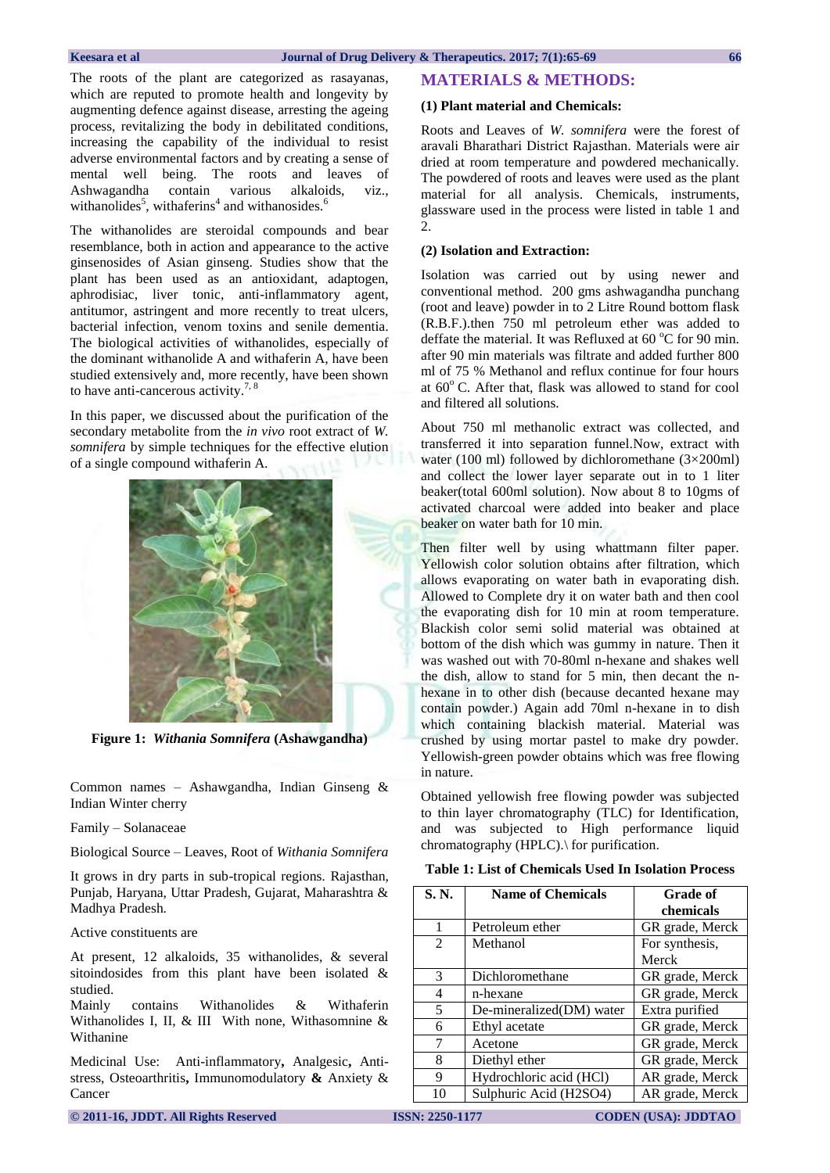The roots of the plant are categorized as rasayanas, which are reputed to promote health and longevity by augmenting defence against disease, arresting the ageing process, revitalizing the body in debilitated conditions, increasing the capability of the individual to resist adverse environmental factors and by creating a sense of mental well being. The roots and leaves of Ashwagandha contain various alkaloids, viz., withanolides<sup>5</sup>, withaferins<sup>4</sup> and withanosides.<sup>6</sup>

The withanolides are steroidal compounds and bear resemblance, both in action and appearance to the active ginsenosides of Asian ginseng. Studies show that the plant has been used as an antioxidant, adaptogen, aphrodisiac, liver tonic, anti-inflammatory agent, antitumor, astringent and more recently to treat ulcers, bacterial infection, venom toxins and senile dementia. The biological activities of withanolides, especially of the dominant withanolide A and withaferin A, have been studied extensively and, more recently, have been shown to have anti-cancerous activity.<sup>7, 8</sup>

In this paper, we discussed about the purification of the secondary metabolite from the *in vivo* root extract of *W. somnifera* by simple techniques for the effective elution of a single compound withaferin A.



**Figure 1:** *Withania Somnifera* **(Ashawgandha)**

Common names – Ashawgandha, Indian Ginseng & Indian Winter cherry

Family – Solanaceae

Biological Source – Leaves, Root of *Withania Somnifera*

It grows in dry parts in sub-tropical regions. Rajasthan, Punjab, Haryana, Uttar Pradesh, Gujarat, Maharashtra & Madhya Pradesh.

Active constituents are

At present, 12 alkaloids, 35 withanolides, & several sitoindosides from this plant have been isolated & studied.

Mainly contains Withanolides & Withaferin Withanolides I, II, & III With none, Withasomnine & Withanine

Medicinal Use: Anti-inflammatory**,** Analgesic**,** Antistress, Osteoarthritis**,** Immunomodulatory **&** Anxiety & Cancer

### **MATERIALS & METHODS:**

#### **(1) Plant material and Chemicals:**

Roots and Leaves of *W. somnifera* were the forest of aravali Bharathari District Rajasthan. Materials were air dried at room temperature and powdered mechanically. The powdered of roots and leaves were used as the plant material for all analysis. Chemicals, instruments, glassware used in the process were listed in table 1 and 2.

# **(2) Isolation and Extraction:**

Isolation was carried out by using newer and conventional method. 200 gms ashwagandha punchang (root and leave) powder in to 2 Litre Round bottom flask (R.B.F.).then 750 ml petroleum ether was added to deffate the material. It was Refluxed at  $60^{\circ}$ C for 90 min. after 90 min materials was filtrate and added further 800 ml of 75 % Methanol and reflux continue for four hours at  $60^{\circ}$  C. After that, flask was allowed to stand for cool and filtered all solutions.

About 750 ml methanolic extract was collected, and transferred it into separation funnel.Now, extract with water (100 ml) followed by dichloromethane (3×200ml) and collect the lower layer separate out in to 1 liter beaker(total 600ml solution). Now about 8 to 10gms of activated charcoal were added into beaker and place beaker on water bath for 10 min.

Then filter well by using whattmann filter paper. Yellowish color solution obtains after filtration, which allows evaporating on water bath in evaporating dish. Allowed to Complete dry it on water bath and then cool the evaporating dish for 10 min at room temperature. Blackish color semi solid material was obtained at bottom of the dish which was gummy in nature. Then it was washed out with 70-80ml n-hexane and shakes well the dish, allow to stand for 5 min, then decant the nhexane in to other dish (because decanted hexane may contain powder.) Again add 70ml n-hexane in to dish which containing blackish material. Material was crushed by using mortar pastel to make dry powder. Yellowish-green powder obtains which was free flowing in nature.

Obtained yellowish free flowing powder was subjected to thin layer chromatography (TLC) for Identification, and was subjected to High performance liquid chromatography (HPLC).\ for purification.

**Table 1: List of Chemicals Used In Isolation Process**

| S. N.         | <b>Name of Chemicals</b> | <b>Grade of</b> |  |
|---------------|--------------------------|-----------------|--|
|               |                          | chemicals       |  |
|               | Petroleum ether          | GR grade, Merck |  |
| 2             | Methanol                 | For synthesis,  |  |
|               |                          | Merck           |  |
| $\mathcal{R}$ | Dichloromethane          | GR grade, Merck |  |
| 4             | n-hexane                 | GR grade, Merck |  |
| 5             | De-mineralized(DM) water | Extra purified  |  |
| 6             | Ethyl acetate            | GR grade, Merck |  |
| 7             | Acetone                  | GR grade, Merck |  |
| 8             | Diethyl ether            | GR grade, Merck |  |
| 9             | Hydrochloric acid (HCl)  | AR grade, Merck |  |
| 10            | Sulphuric Acid (H2SO4)   | AR grade, Merck |  |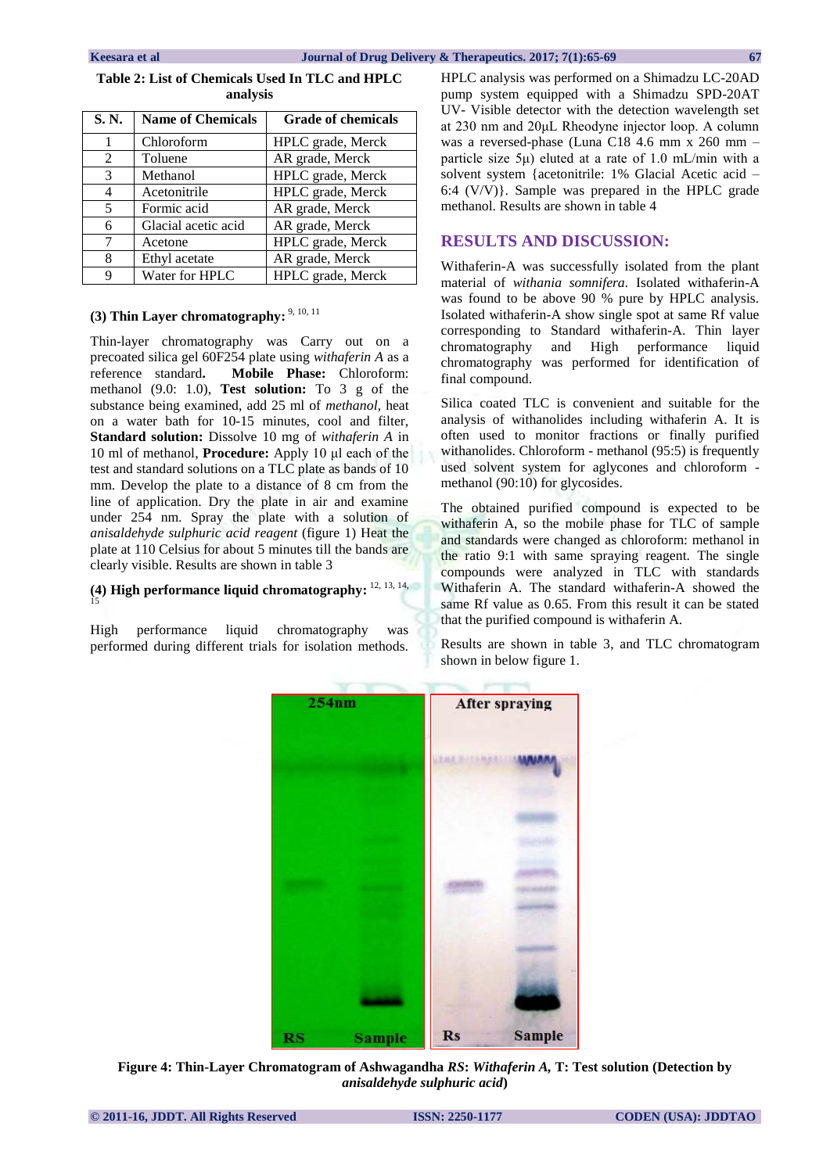|          | Table 2: List of Chemicals Used In TLC and HPLC |  |  |  |  |
|----------|-------------------------------------------------|--|--|--|--|
| analysis |                                                 |  |  |  |  |
|          |                                                 |  |  |  |  |

| S.N. | <b>Name of Chemicals</b> | <b>Grade of chemicals</b> |
|------|--------------------------|---------------------------|
| 1    | Chloroform               | HPLC grade, Merck         |
| 2    | Toluene                  | AR grade, Merck           |
| 3    | Methanol                 | HPLC grade, Merck         |
| 4    | Acetonitrile             | HPLC grade, Merck         |
| 5    | Formic acid              | AR grade, Merck           |
| 6    | Glacial acetic acid      | AR grade, Merck           |
| 7    | Acetone                  | HPLC grade, Merck         |
| 8    | Ethyl acetate            | AR grade, Merck           |
| 9    | Water for HPLC           | HPLC grade, Merck         |

# (3) Thin Layer chromatography: <sup>9, 10, 11</sup>

Thin-layer chromatography was Carry out on a precoated silica gel 60F254 plate using *withaferin A* as a reference standard**. Mobile Phase:** Chloroform: methanol (9.0: 1.0), **Test solution:** To 3 g of the substance being examined, add 25 ml of *methanol*, heat on a water bath for 10-15 minutes, cool and filter, **Standard solution:** Dissolve 10 mg of *withaferin A* in 10 ml of methanol, **Procedure:** Apply 10 μl each of the test and standard solutions on a TLC plate as bands of 10 mm. Develop the plate to a distance of 8 cm from the line of application. Dry the plate in air and examine under 254 nm. Spray the plate with a solution of *anisaldehyde sulphuric acid reagent* (figure 1) Heat the plate at 110 Celsius for about 5 minutes till the bands are clearly visible. Results are shown in table 3

#### **(4) High performance liquid chromatography:** 12, 13, 14, 15

High performance liquid chromatography was performed during different trials for isolation methods. HPLC analysis was performed on a Shimadzu LC-20AD pump system equipped with a Shimadzu SPD-20AT UV- Visible detector with the detection wavelength set at 230 nm and 20μL Rheodyne injector loop. A column was a reversed-phase (Luna C18 4.6 mm x 260 mm – particle size 5μ) eluted at a rate of 1.0 mL/min with a solvent system {acetonitrile: 1% Glacial Acetic acid – 6:4 (V/V)}. Sample was prepared in the HPLC grade methanol. Results are shown in table 4

# **RESULTS AND DISCUSSION:**

Withaferin-A was successfully isolated from the plant material of *withania somnifera.* Isolated withaferin-A was found to be above 90 % pure by HPLC analysis. Isolated withaferin-A show single spot at same Rf value corresponding to Standard withaferin-A. Thin layer chromatography and High performance liquid chromatography was performed for identification of final compound.

Silica coated TLC is convenient and suitable for the analysis of withanolides including withaferin A. It is often used to monitor fractions or finally purified withanolides. Chloroform - methanol (95:5) is frequently used solvent system for aglycones and chloroform methanol (90:10) for glycosides.

The obtained purified compound is expected to be withaferin A, so the mobile phase for TLC of sample and standards were changed as chloroform: methanol in the ratio 9:1 with same spraying reagent. The single compounds were analyzed in TLC with standards Withaferin A. The standard withaferin-A showed the same Rf value as 0.65. From this result it can be stated that the purified compound is withaferin A.

Results are shown in table 3, and TLC chromatogram shown in below figure 1.



**Figure 4: Thin-Layer Chromatogram of Ashwagandha** *RS***:** *Withaferin A,* **T: Test solution (Detection by**  *anisaldehyde sulphuric acid***)**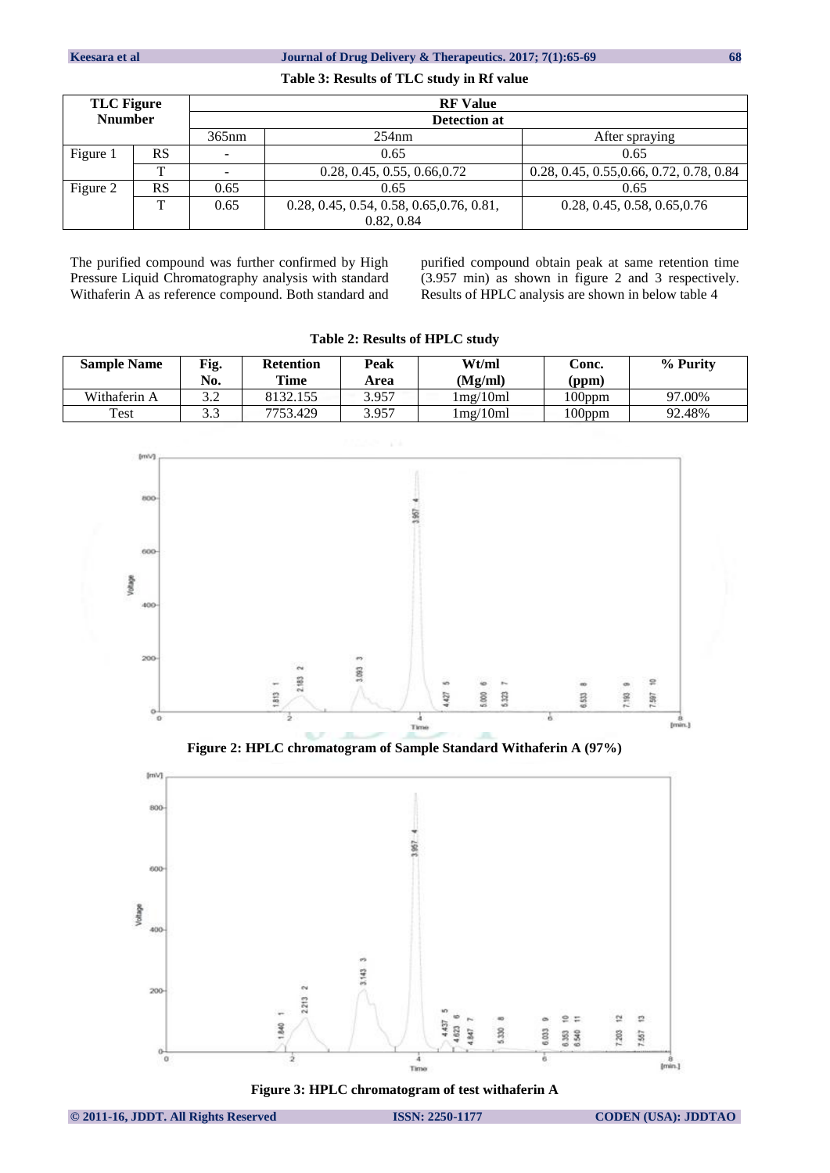## **Keesara** et al Journal of Drug Delivery & Therapeutics. 2017; 7(1):65-69 68

#### **Table 3: Results of TLC study in Rf value**

| <b>TLC</b> Figure |           | <b>RF</b> Value |                                           |                                          |  |
|-------------------|-----------|-----------------|-------------------------------------------|------------------------------------------|--|
| <b>Nnumber</b>    |           | Detection at    |                                           |                                          |  |
|                   |           | 365nm           | 254nm                                     | After spraying                           |  |
| Figure 1          | <b>RS</b> | -               | 0.65                                      | 0.65                                     |  |
|                   | ᡣ         |                 | 0.28, 0.45, 0.55, 0.66, 0.72              | 0.28, 0.45, 0.55, 0.66, 0.72, 0.78, 0.84 |  |
| Figure 2          | <b>RS</b> | 0.65            | 0.65                                      | 0.65                                     |  |
|                   | ᠇᠇        | 0.65            | 0.28, 0.45, 0.54, 0.58, 0.65, 0.76, 0.81, | 0.28, 0.45, 0.58, 0.65, 0.76             |  |
|                   |           |                 | 0.82, 0.84                                |                                          |  |

The purified compound was further confirmed by High Pressure Liquid Chromatography analysis with standard Withaferin A as reference compound. Both standard and purified compound obtain peak at same retention time (3.957 min) as shown in figure 2 and 3 respectively. Results of HPLC analysis are shown in below table 4

| <b>Sample Name</b> | Fig.<br>No. | <b>Retention</b><br>Time | Peak<br>Area | Wt/ml<br>(Mg/ml)           | Conc.<br>(ppm) | % Purity |
|--------------------|-------------|--------------------------|--------------|----------------------------|----------------|----------|
| Withaferin A       | ? ?<br>ے.د  | 8132.155                 | 3.957        | $1 \text{mg}/10 \text{ml}$ | $100$ ppm      | 97.00%   |
| Test               | 3.3         | 7753.429                 | 3.957        | 1mg/10ml                   | 100ppm         | 92.48%   |

**Table 2: Results of HPLC study**



**Figure 2: HPLC chromatogram of Sample Standard Withaferin A (97%)** 



**Figure 3: HPLC chromatogram of test withaferin A**